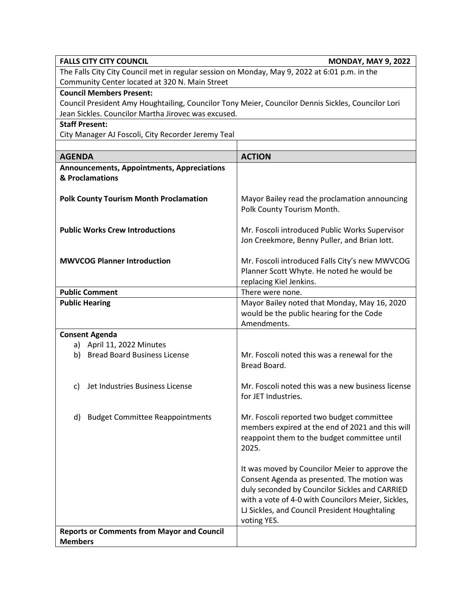| <b>FALLS CITY CITY COUNCIL</b><br><b>MONDAY, MAY 9, 2022</b>                                       |                                                                                                                                                                                                                                                                       |  |
|----------------------------------------------------------------------------------------------------|-----------------------------------------------------------------------------------------------------------------------------------------------------------------------------------------------------------------------------------------------------------------------|--|
| The Falls City City Council met in regular session on Monday, May 9, 2022 at 6:01 p.m. in the      |                                                                                                                                                                                                                                                                       |  |
| Community Center located at 320 N. Main Street                                                     |                                                                                                                                                                                                                                                                       |  |
| <b>Council Members Present:</b>                                                                    |                                                                                                                                                                                                                                                                       |  |
| Council President Amy Houghtailing, Councilor Tony Meier, Councilor Dennis Sickles, Councilor Lori |                                                                                                                                                                                                                                                                       |  |
| Jean Sickles. Councilor Martha Jirovec was excused.                                                |                                                                                                                                                                                                                                                                       |  |
| <b>Staff Present:</b>                                                                              |                                                                                                                                                                                                                                                                       |  |
| City Manager AJ Foscoli, City Recorder Jeremy Teal                                                 |                                                                                                                                                                                                                                                                       |  |
|                                                                                                    |                                                                                                                                                                                                                                                                       |  |
| <b>AGENDA</b>                                                                                      | <b>ACTION</b>                                                                                                                                                                                                                                                         |  |
| <b>Announcements, Appointments, Appreciations</b><br>& Proclamations                               |                                                                                                                                                                                                                                                                       |  |
| <b>Polk County Tourism Month Proclamation</b>                                                      | Mayor Bailey read the proclamation announcing<br>Polk County Tourism Month.                                                                                                                                                                                           |  |
| <b>Public Works Crew Introductions</b>                                                             | Mr. Foscoli introduced Public Works Supervisor<br>Jon Creekmore, Benny Puller, and Brian lott.                                                                                                                                                                        |  |
| <b>MWVCOG Planner Introduction</b>                                                                 | Mr. Foscoli introduced Falls City's new MWVCOG<br>Planner Scott Whyte. He noted he would be<br>replacing Kiel Jenkins.                                                                                                                                                |  |
| <b>Public Comment</b>                                                                              | There were none.                                                                                                                                                                                                                                                      |  |
| <b>Public Hearing</b>                                                                              | Mayor Bailey noted that Monday, May 16, 2020<br>would be the public hearing for the Code<br>Amendments.                                                                                                                                                               |  |
| <b>Consent Agenda</b>                                                                              |                                                                                                                                                                                                                                                                       |  |
| a) April 11, 2022 Minutes                                                                          |                                                                                                                                                                                                                                                                       |  |
| <b>Bread Board Business License</b><br>b)                                                          | Mr. Foscoli noted this was a renewal for the<br>Bread Board.                                                                                                                                                                                                          |  |
| Jet Industries Business License<br>C)                                                              | Mr. Foscoli noted this was a new business license<br>for JET Industries.                                                                                                                                                                                              |  |
| <b>Budget Committee Reappointments</b><br>d)                                                       | Mr. Foscoli reported two budget committee<br>members expired at the end of 2021 and this will<br>reappoint them to the budget committee until<br>2025.                                                                                                                |  |
|                                                                                                    | It was moved by Councilor Meier to approve the<br>Consent Agenda as presented. The motion was<br>duly seconded by Councilor Sickles and CARRIED<br>with a vote of 4-0 with Councilors Meier, Sickles,<br>LJ Sickles, and Council President Houghtaling<br>voting YES. |  |
| <b>Reports or Comments from Mayor and Council</b><br><b>Members</b>                                |                                                                                                                                                                                                                                                                       |  |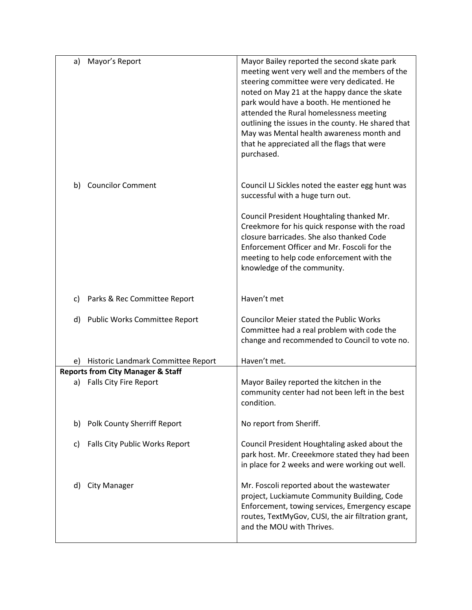| a) | Mayor's Report                               | Mayor Bailey reported the second skate park<br>meeting went very well and the members of the<br>steering committee were very dedicated. He<br>noted on May 21 at the happy dance the skate<br>park would have a booth. He mentioned he<br>attended the Rural homelessness meeting<br>outlining the issues in the county. He shared that<br>May was Mental health awareness month and<br>that he appreciated all the flags that were<br>purchased. |
|----|----------------------------------------------|---------------------------------------------------------------------------------------------------------------------------------------------------------------------------------------------------------------------------------------------------------------------------------------------------------------------------------------------------------------------------------------------------------------------------------------------------|
| b) | <b>Councilor Comment</b>                     | Council LJ Sickles noted the easter egg hunt was<br>successful with a huge turn out.                                                                                                                                                                                                                                                                                                                                                              |
|    |                                              | Council President Houghtaling thanked Mr.<br>Creekmore for his quick response with the road<br>closure barricades. She also thanked Code<br>Enforcement Officer and Mr. Foscoli for the<br>meeting to help code enforcement with the<br>knowledge of the community.                                                                                                                                                                               |
| C) | Parks & Rec Committee Report                 | Haven't met                                                                                                                                                                                                                                                                                                                                                                                                                                       |
| d) | Public Works Committee Report                | <b>Councilor Meier stated the Public Works</b><br>Committee had a real problem with code the<br>change and recommended to Council to vote no.                                                                                                                                                                                                                                                                                                     |
| e) | Historic Landmark Committee Report           | Haven't met.                                                                                                                                                                                                                                                                                                                                                                                                                                      |
|    | <b>Reports from City Manager &amp; Staff</b> |                                                                                                                                                                                                                                                                                                                                                                                                                                                   |
| a) | Falls City Fire Report                       | Mayor Bailey reported the kitchen in the<br>community center had not been left in the best<br>condition.                                                                                                                                                                                                                                                                                                                                          |
| b) | <b>Polk County Sherriff Report</b>           | No report from Sheriff.                                                                                                                                                                                                                                                                                                                                                                                                                           |
| c) | Falls City Public Works Report               | Council President Houghtaling asked about the<br>park host. Mr. Creeekmore stated they had been<br>in place for 2 weeks and were working out well.                                                                                                                                                                                                                                                                                                |
| d) | <b>City Manager</b>                          | Mr. Foscoli reported about the wastewater<br>project, Luckiamute Community Building, Code<br>Enforcement, towing services, Emergency escape<br>routes, TextMyGov, CUSI, the air filtration grant,<br>and the MOU with Thrives.                                                                                                                                                                                                                    |